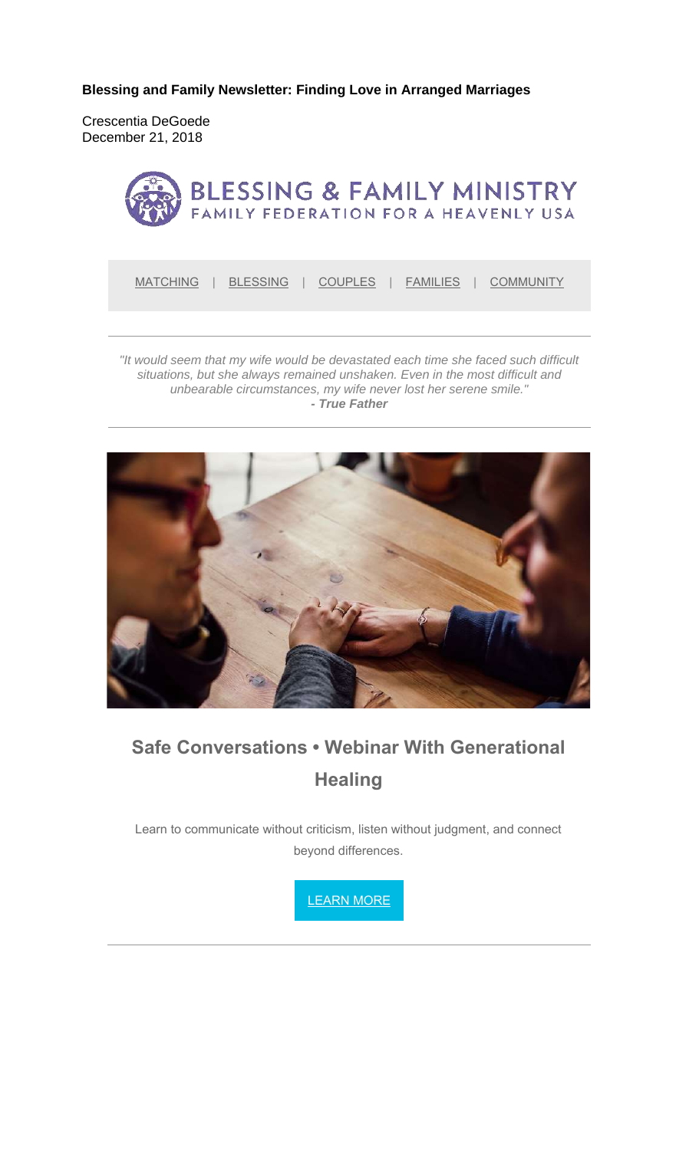**Blessing and Family Newsletter: Finding Love in Arranged Marriages** 

Crescentia DeGoede December 21, 2018



MATCHING | BLESSING | COUPLES | FAMILIES | COMMUNITY

*"It would seem that my wife would be devastated each time she faced such difficult situations, but she always remained unshaken. Even in the most difficult and unbearable circumstances, my wife never lost her serene smile." - True Father*



# **Safe Conversations • Webinar With Generational Healing**

Learn to communicate without criticism, listen without judgment, and connect beyond differences.

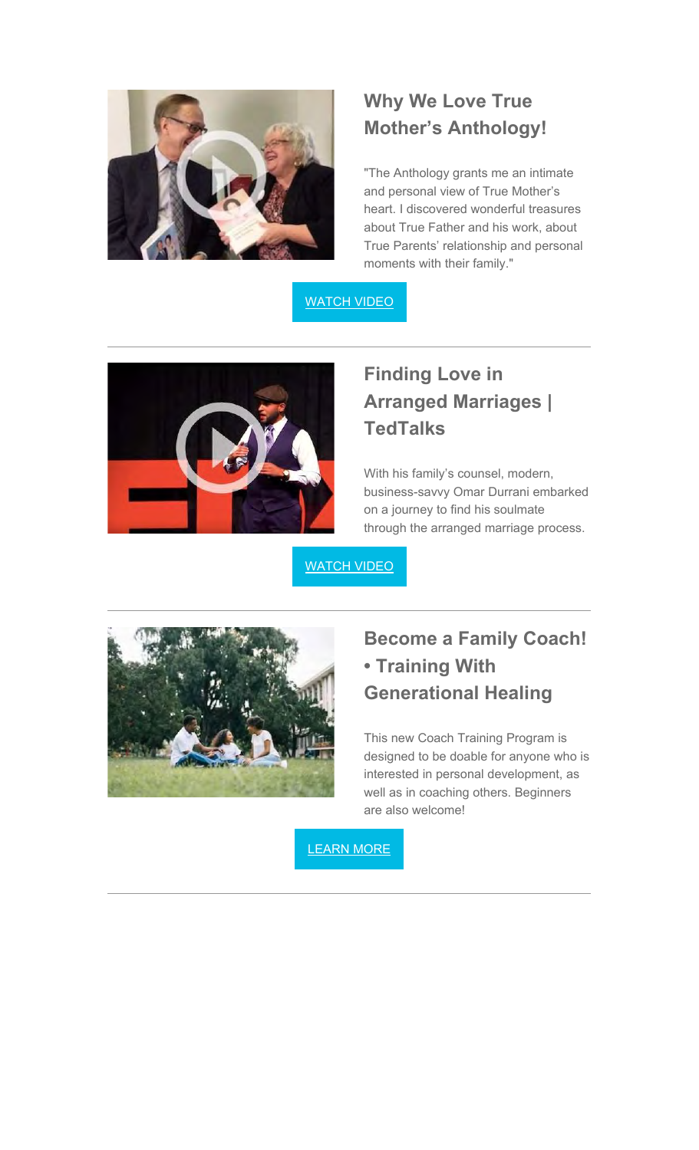

# **Why We Love True Mother's Anthology!**

"The Anthology grants me an intimate and personal view of True Mother's heart. I discovered wonderful treasures about True Father and his work, about True Parents' relationship and personal moments with their family."

#### WATCH VIDEO



# **Finding Love in Arranged Marriages | TedTalks**

With his family's counsel, modern, business-savvy Omar Durrani embarked on a journey to find his soulmate through the arranged marriage process.

WATCH VIDEO



# **Become a Family Coach! • Training With Generational Healing**

This new Coach Training Program is designed to be doable for anyone who is interested in personal development, as well as in coaching others. Beginners are also welcome!

LEARN MORE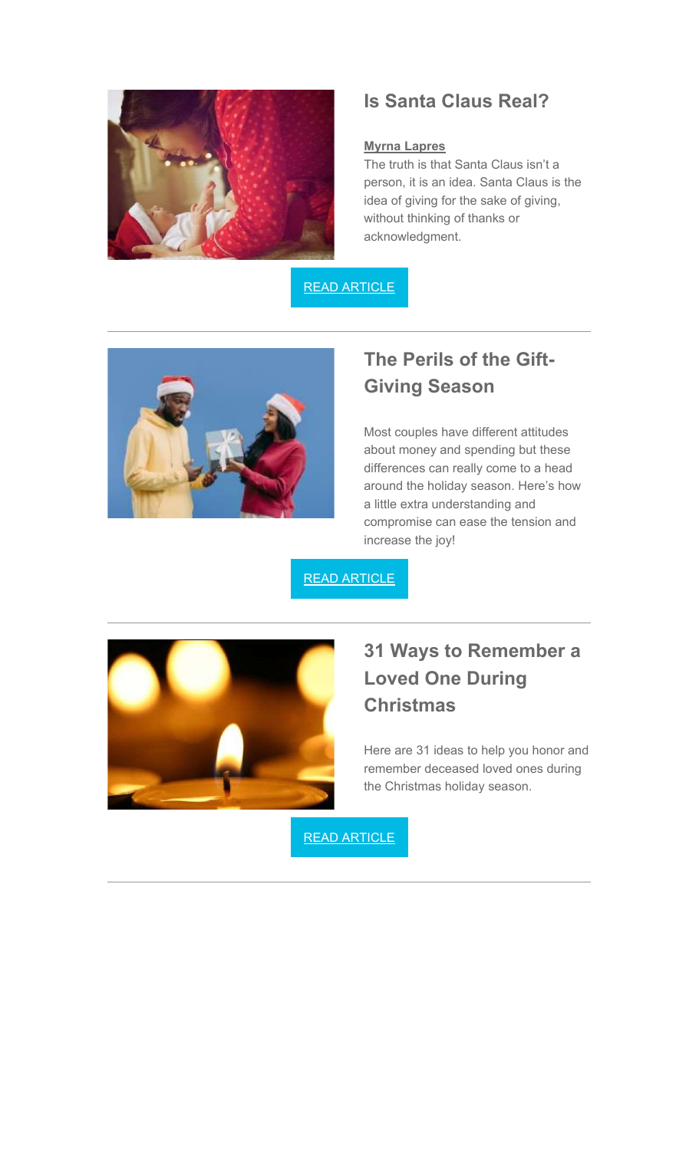

### **Is Santa Claus Real?**

#### **Myrna Lapres**

The truth is that Santa Claus isn't a person, it is an idea. Santa Claus is the idea of giving for the sake of giving, without thinking of thanks or acknowledgment.

READ ARTICLE



## **The Perils of the Gift-Giving Season**

Most couples have different attitudes about money and spending but these differences can really come to a head around the holiday season. Here's how a little extra understanding and compromise can ease the tension and increase the joy!

READ ARTICLE



# **31 Ways to Remember a Loved One During Christmas**

Here are 31 ideas to help you honor and remember deceased loved ones during the Christmas holiday season.

READ ARTICLE